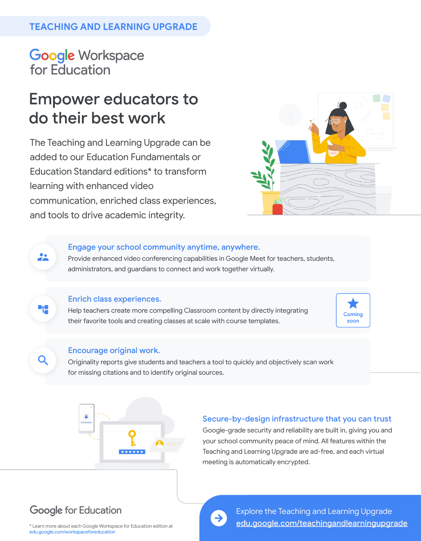# **TEACHING AND LEARNING UPGRADE**

**Google Workspace** for Education

# **Empower educators to** do their best work

The Teaching and Learning Upgrade can be added to our Education Fundamentals or Education Standard editions\* to transform learning with enhanced video communication, enriched class experiences, and tools to drive academic integrity.



### Engage your school community anytime, anywhere.

Provide enhanced video conferencing capabilities in Google Meet for teachers, students, administrators, and guardians to connect and work together virtually.

### **Enrich class experiences.**

22

۰,

Q

Help teachers create more compelling Classroom content by directly integrating their favorite tools and creating classes at scale with course templates.



#### **Encourage original work.**

Originality reports give students and teachers a tool to quickly and objectively scan work for missing citations and to identify original sources.



### Secure-by-design infrastructure that you can trust

Google-grade security and reliability are built in, giving you and your school community peace of mind. All features within the Teaching and Learning Upgrade are ad-free, and each virtual meeting is automatically encrypted.

# **Google for Education**



[Explore the Teaching and Learning Upgrade](http://edu.google.com/teachingandlearningupgrade) edu.google.com/teachingandlearningupgrade

\* Learn more about each Google Workspace for Education edition at [edu.google.com/workspaceforeducation](http://edu.google.com/workspaceforeducation)